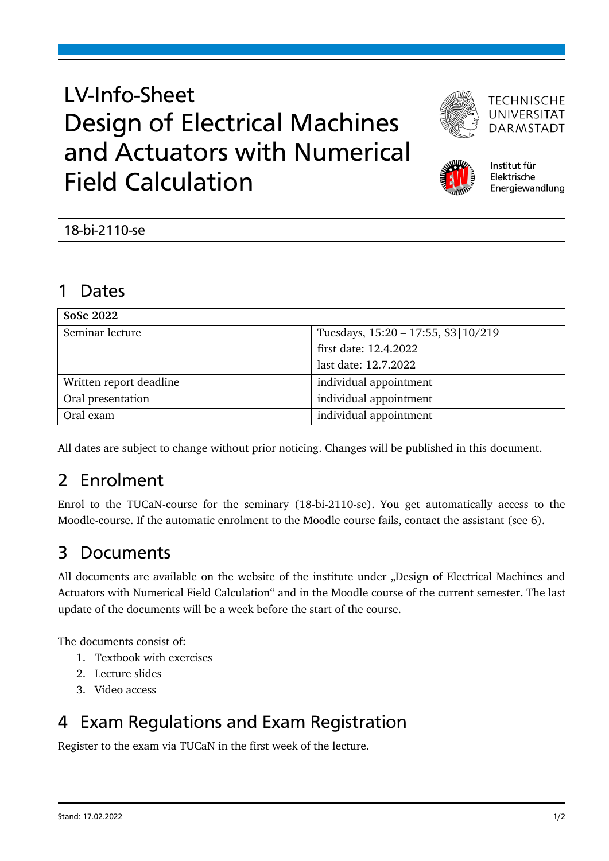# LV-Info-Sheet Design of Electrical Machines and Actuators with Numerical Field Calculation



**TECHNISCHE** UNIVERSITÄT **DARMSTADT** 



Institut für Elektrische Energiewandlung

### 1 Dates

| SoSe 2022               |                                      |
|-------------------------|--------------------------------------|
| Seminar lecture         | Tuesdays, 15:20 - 17:55, S3   10/219 |
|                         | first date: 12.4.2022                |
|                         | last date: 12.7.2022                 |
| Written report deadline | individual appointment               |
| Oral presentation       | individual appointment               |
| Oral exam               | individual appointment               |

All dates are subject to change without prior noticing. Changes will be published in this document.

# 2 Enrolment

Enrol to the TUCaN-course for the seminary (18-bi-2110-se). You get automatically access to the Moodle-course. If the automatic enrolment to the Moodle course fails, contact the assistant (see 6).

# 3 Documents

All documents are available on the website of the institute under "Design of Electrical Machines and Actuators with Numerical Field Calculation" and in the Moodle course of the current semester. The last update of the documents will be a week before the start of the course.

The documents consist of:

- 1. Textbook with exercises
- 2. Lecture slides
- 3. Video access

## 4 Exam Regulations and Exam Registration

Register to the exam via TUCaN in the first week of the lecture.